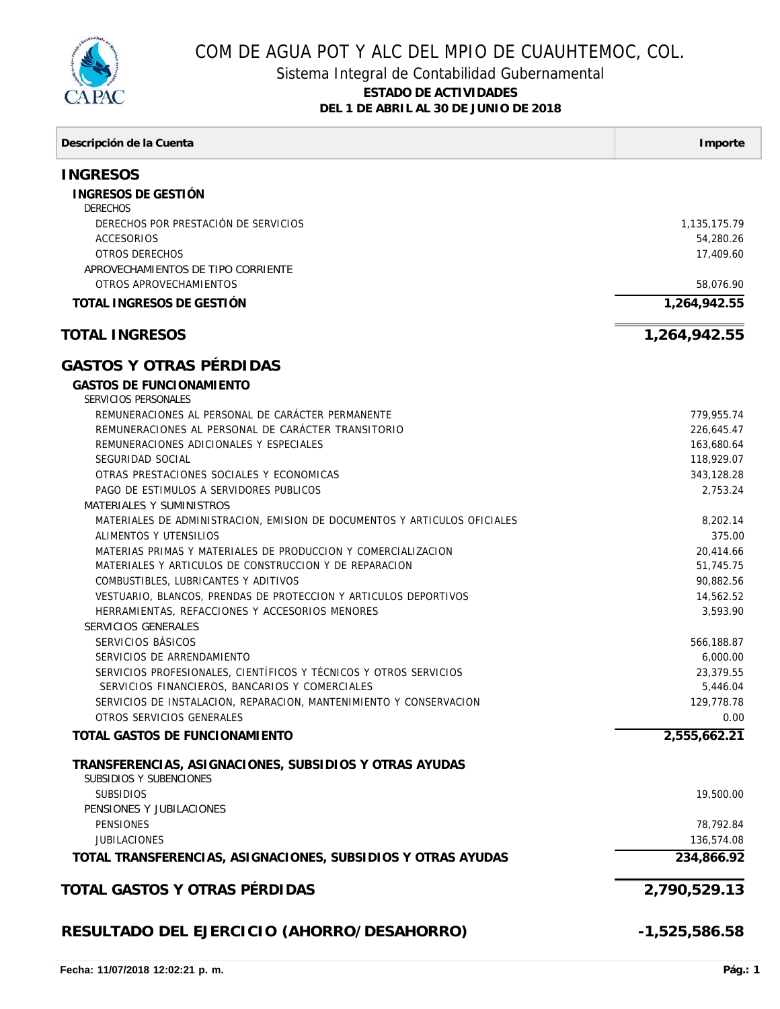

## COM DE AGUA POT Y ALC DEL MPIO DE CUAUHTEMOC, COL.

## Sistema Integral de Contabilidad Gubernamental **ESTADO DE ACTIVIDADES**

**DEL 1 DE ABRIL AL 30 DE JUNIO DE 2018**

| Descripción de la Cuenta                                                                            | Importe            |
|-----------------------------------------------------------------------------------------------------|--------------------|
| <b>INGRESOS</b>                                                                                     |                    |
| INGRESOS DE GESTIÓN<br><b>DERECHOS</b>                                                              |                    |
| DERECHOS POR PRESTACIÓN DE SERVICIOS                                                                | 1,135,175.79       |
| ACCESORIOS                                                                                          | 54,280.26          |
| <b>OTROS DERECHOS</b>                                                                               | 17,409.60          |
| APROVECHAMIENTOS DE TIPO CORRIENTE                                                                  |                    |
| OTROS APROVECHAMIENTOS                                                                              | 58,076.90          |
| TOTAL INGRESOS DE GESTIÓN                                                                           | 1,264,942.55       |
| <b>TOTAL INGRESOS</b>                                                                               | 1,264,942.55       |
| <b>GASTOS Y OTRAS PÉRDIDAS</b>                                                                      |                    |
| <b>GASTOS DE FUNCIONAMIENTO</b><br>SERVICIOS PERSONALES                                             |                    |
| REMUNERACIONES AL PERSONAL DE CARÁCTER PERMANENTE                                                   | 779,955.74         |
| REMUNERACIONES AL PERSONAL DE CARÁCTER TRANSITORIO                                                  | 226,645.47         |
| REMUNERACIONES ADICIONALES Y ESPECIALES                                                             | 163,680.64         |
| SEGURIDAD SOCIAL                                                                                    | 118,929.07         |
| OTRAS PRESTACIONES SOCIALES Y ECONOMICAS                                                            | 343,128.28         |
| PAGO DE ESTIMULOS A SERVIDORES PUBLICOS                                                             | 2,753.24           |
| MATERIALES Y SUMINISTROS                                                                            |                    |
| MATERIALES DE ADMINISTRACION, EMISION DE DOCUMENTOS Y ARTICULOS OFICIALES<br>ALIMENTOS Y UTENSILIOS | 8,202.14<br>375.00 |
| MATERIAS PRIMAS Y MATERIALES DE PRODUCCION Y COMERCIALIZACION                                       | 20,414.66          |
| MATERIALES Y ARTICULOS DE CONSTRUCCION Y DE REPARACION                                              | 51,745.75          |
| COMBUSTIBLES, LUBRICANTES Y ADITIVOS                                                                | 90,882.56          |
| VESTUARIO, BLANCOS, PRENDAS DE PROTECCION Y ARTICULOS DEPORTIVOS                                    | 14,562.52          |
| HERRAMIENTAS, REFACCIONES Y ACCESORIOS MENORES                                                      | 3,593.90           |
| SERVICIOS GENERALES                                                                                 |                    |
| SERVICIOS BÁSICOS                                                                                   | 566,188.87         |
| SERVICIOS DE ARRENDAMIENTO                                                                          | 6,000.00           |
| SERVICIOS PROFESIONALES, CIENTÍFICOS Y TÉCNICOS Y OTROS SERVICIOS                                   | 23,379.55          |
| SERVICIOS FINANCIEROS, BANCARIOS Y COMERCIALES                                                      | 5,446.04           |
| SERVICIOS DE INSTALACION, REPARACION, MANTENIMIENTO Y CONSERVACION                                  | 129,778.78         |
| OTROS SERVICIOS GENERALES                                                                           | 0.00               |
| TOTAL GASTOS DE FUNCIONAMIENTO                                                                      | 2,555,662.21       |
| TRANSFERENCIAS, ASIGNACIONES, SUBSIDIOS Y OTRAS AYUDAS<br>SUBSIDIOS Y SUBENCIONES                   |                    |
| <b>SUBSIDIOS</b>                                                                                    | 19,500.00          |
| PENSIONES Y JUBILACIONES<br><b>PENSIONES</b>                                                        | 78,792.84          |
| <b>JUBILACIONES</b>                                                                                 | 136,574.08         |
|                                                                                                     | 234,866.92         |
| TOTAL TRANSFERENCIAS, ASIGNACIONES, SUBSIDIOS Y OTRAS AYUDAS                                        |                    |
| TOTAL GASTOS Y OTRAS PÉRDIDAS                                                                       | 2,790,529.13       |
| RESULTADO DEL EJERCICIO (AHORRO/DESAHORRO)                                                          | $-1,525,586.58$    |